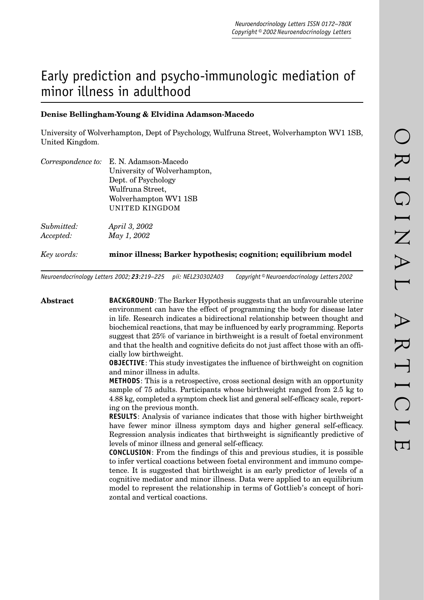# Early prediction and psycho-immunologic mediation of minor illness in adulthood

# **Denise Bellingham-Young & Elvidina Adamson-Macedo**

University of Wolverhampton, Dept of Psychology, Wulfruna Street, Wolverhampton WV1 1SB, United Kingdom.

|            | Correspondence to: E. N. Adamson-Macedo                        |  |  |
|------------|----------------------------------------------------------------|--|--|
|            | University of Wolverhampton,                                   |  |  |
|            | Dept. of Psychology                                            |  |  |
|            | Wulfruna Street,                                               |  |  |
|            | Wolverhampton WV1 1SB                                          |  |  |
|            | UNITED KINGDOM                                                 |  |  |
| Submitted: | April 3, 2002                                                  |  |  |
| Accepted:  | May 1, 2002                                                    |  |  |
| Key words: | minor illness; Barker hypothesis; cognition; equilibrium model |  |  |
|            |                                                                |  |  |

*Neuroendocrinology Letters 2002; 23:219–225 pii: NEL230302A03 Copyright © Neuroendocrinology Letters 2002*

**Abstract BACKGROUND**: The Barker Hypothesis suggests that an unfavourable uterine environment can have the effect of programming the body for disease later in life. Research indicates a bidirectional relationship between thought and biochemical reactions, that may be influenced by early programming. Reports suggest that 25% of variance in birthweight is a result of foetal environment and that the health and cognitive deficits do not just affect those with an officially low birthweight. **OBJECTIVE**: This study investigates the influence of birthweight on cognition and minor illness in adults. **METHODS**: This is a retrospective, cross sectional design with an opportunity sample of 75 adults. Participants whose birthweight ranged from 2.5 kg to 4.88 kg, completed a symptom check list and general self-efficacy scale, reporting on the previous month. **RESULTS**: Analysis of variance indicates that those with higher birthweight have fewer minor illness symptom days and higher general self-efficacy. Regression analysis indicates that birthweight is significantly predictive of levels of minor illness and general self-efficacy. **CONCLUSION**: From the findings of this and previous studies, it is possible to infer vertical coactions between foetal environment and immuno competence. It is suggested that birthweight is an early predictor of levels of a cognitive mediator and minor illness. Data were applied to an equilibrium model to represent the relationship in terms of Gottlieb's concept of horizontal and vertical coactions.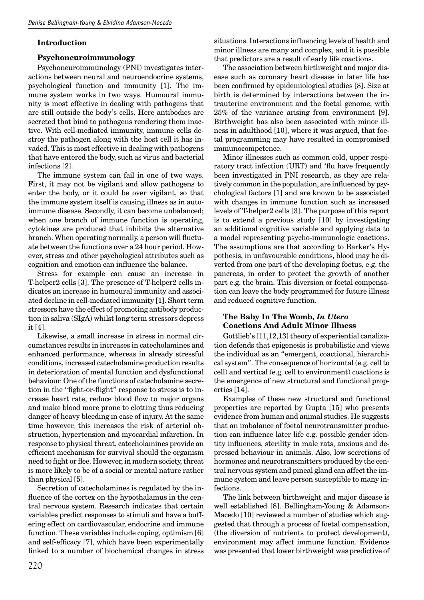#### **Introduction**

#### **Psychoneuroimmunology**

Psychoneuroimmunology (PNI) investigates interactions between neural and neuroendocrine systems, psychological function and immunity [1]. The immune system works in two ways. Humoural immunity is most effective in dealing with pathogens that are still outside the body's cells. Here antibodies are secreted that bind to pathogens rendering them inactive. With cell-mediated immunity, immune cells destroy the pathogen along with the host cell it has invaded. This is most effective in dealing with pathogens that have entered the body, such as virus and bacterial infections [2].

The immune system can fail in one of two ways. First, it may not be vigilant and allow pathogens to enter the body, or it could be over vigilant, so that the immune system itself is causing illness as in autoimmune disease. Secondly, it can become unbalanced; when one branch of immune function is operating, cytokines are produced that inhibits the alternative branch. When operating normally, a person will fluctuate between the functions over a 24 hour period. However, stress and other psychological attributes such as cognition and emotion can influence the balance.

Stress for example can cause an increase in T-helper2 cells [3]. The presence of T-helper2 cells indicates an increase in humoural immunity and associated decline in cell-mediated immunity [1]. Short term stressors have the effect of promoting antibody production in saliva (SIgA) whilst long term stressors depress it [4].

Likewise, a small increase in stress in normal circumstances results in increases in catecholamines and enhanced performance, whereas in already stressful conditions, increased catecholamine production results in deterioration of mental function and dysfunctional behaviour. One of the functions of catecholamine secretion in the "fight-or-flight" response to stress is to increase heart rate, reduce blood flow to major organs and make blood more prone to clotting thus reducing danger of heavy bleeding in case of injury. At the same time however, this increases the risk of arterial obstruction, hypertension and myocardial infarction. In response to physical threat, catecholamines provide an efficient mechanism for survival should the organism need to fight or flee. However, in modern society, threat is more likely to be of a social or mental nature rather than physical [5].

Secretion of catecholamines is regulated by the influence of the cortex on the hypothalamus in the central nervous system. Research indicates that certain variables predict responses to stimuli and have a buffering effect on cardiovascular, endocrine and immune function. These variables include coping, optimism [6] and self-efficacy [7], which have been experimentally linked to a number of biochemical changes in stress

situations. Interactions influencing levels of health and minor illness are many and complex, and it is possible that predictors are a result of early life coactions.

The association between birthweight and major disease such as coronary heart disease in later life has been confirmed by epidemiological studies [8]. Size at birth is determined by interactions between the intrauterine environment and the foetal genome, with 25% of the variance arising from environment [9]. Birthweight has also been associated with minor illness in adulthood [10], where it was argued, that foetal programming may have resulted in compromised immunocompetence.

Minor illnesses such as common cold, upper respiratory tract infection (URT) and 'flu have frequently been investigated in PNI research, as they are relatively common in the population, are influenced by psychological factors [1] and are known to be associated with changes in immune function such as increased levels of T-helper2 cells [3]. The purpose of this report is to extend a previous study [10] by investigating an additional cognitive variable and applying data to a model representing psycho-immunologic coactions. The assumptions are that according to Barker's Hypothesis, in unfavourable conditions, blood may be diverted from one part of the developing foetus, e.g. the pancreas, in order to protect the growth of another part e.g. the brain. This diversion or foetal compensation can leave the body programmed for future illness and reduced cognitive function.

## **The Baby In The Womb,** *In Utero* **Coactions And Adult Minor Illness**

Gottlieb's [11,12,13] theory of experiential canalization defends that epigenesis is probabilistic and views the individual as an "emergent, coactional, hierarchical system". The consequence of horizontal (e.g. cell to cell) and vertical (e.g. cell to environment) coactions is the emergence of new structural and functional properties [14].

Examples of these new structural and functional properties are reported by Gupta [15] who presents evidence from human and animal studies. He suggests that an imbalance of foetal neurotransmitter production can influence later life e.g. possible gender identity influences, sterility in male rats, anxious and depressed behaviour in animals. Also, low secretions of hormones and neurotransmitters produced by the central nervous system and pineal gland can affect the immune system and leave person susceptible to many infections.

The link between birthweight and major disease is well established [8]. Bellingham-Young & Adamson-Macedo [10] reviewed a number of studies which suggested that through a process of foetal compensation, (the diversion of nutrients to protect development), environment may affect immune function. Evidence was presented that lower birthweight was predictive of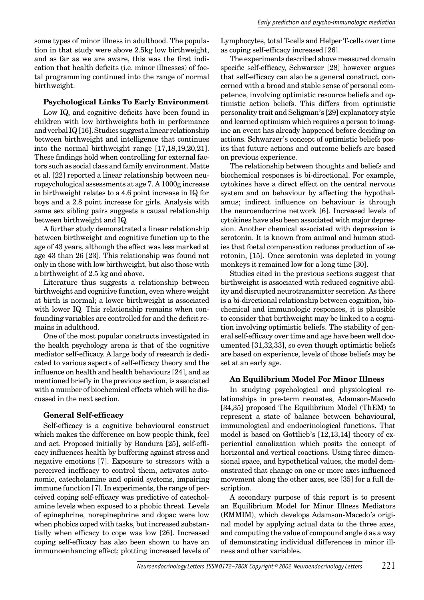some types of minor illness in adulthood. The population in that study were above 2.5kg low birthweight, and as far as we are aware, this was the first indication that health deficits (i.e. minor illnesses) of foetal programming continued into the range of normal birthweight.

## **Psychological Links To Early Environment**

Low IQ, and cognitive deficits have been found in children with low birthweights both in performance and verbal IQ [16]. Studies suggest a linear relationship between birthweight and intelligence that continues into the normal birthweight range [17,18,19,20,21]. These findings hold when controlling for external factors such as social class and family environment. Matte et al. [22] reported a linear relationship between neuropsychological assessments at age 7. A 1000g increase in birthweight relates to a 4.6 point increase in IQ for boys and a 2.8 point increase for girls. Analysis with same sex sibling pairs suggests a causal relationship between birthweight and IQ.

A further study demonstrated a linear relationship between birthweight and cognitive function up to the age of 43 years, although the effect was less marked at age 43 than 26 [23]. This relationship was found not only in those with low birthweight, but also those with a birthweight of 2.5 kg and above.

Literature thus suggests a relationship between birthweight and cognitive function, even where weight at birth is normal; a lower birthweight is associated with lower IQ. This relationship remains when confounding variables are controlled for and the deficit remains in adulthood.

One of the most popular constructs investigated in the health psychology arena is that of the cognitive mediator self-efficacy. A large body of research is dedicated to various aspects of self-efficacy theory and the influence on health and health behaviours [24], and as mentioned briefly in the previous section, is associated with a number of biochemical effects which will be discussed in the next section.

## **General Self-efficacy**

Self-efficacy is a cognitive behavioural construct which makes the difference on how people think, feel and act. Proposed initially by Bandura [25], self-efficacy influences health by buffering against stress and negative emotions [7]. Exposure to stressors with a perceived inefficacy to control them, activates autonomic, catecholamine and opioid systems, impairing immune function [7]. In experiments, the range of perceived coping self-efficacy was predictive of catecholamine levels when exposed to a phobic threat. Levels of epinephrine, norepinephrine and dopac were low when phobics coped with tasks, but increased substantially when efficacy to cope was low [26]. Increased coping self-efficacy has also been shown to have an immunoenhancing effect; plotting increased levels of Lymphocytes, total T-cells and Helper T-cells over time as coping self-efficacy increased [26].

The experiments described above measured domain specific self-efficacy, Schwarzer [28] however argues that self-efficacy can also be a general construct, concerned with a broad and stable sense of personal competence, involving optimistic resource beliefs and optimistic action beliefs. This differs from optimistic personality trait and Seligman's [29] explanatory style and learned optimism which requires a person to imagine an event has already happened before deciding on actions. Schwarzer's concept of optimistic beliefs posits that future actions and outcome beliefs are based on previous experience.

The relationship between thoughts and beliefs and biochemical responses is bi-directional. For example, cytokines have a direct effect on the central nervous system and on behaviour by affecting the hypothalamus; indirect influence on behaviour is through the neuroendocrine network [6]. Increased levels of cytokines have also been associated with major depression. Another chemical associated with depression is serotonin. It is known from animal and human studies that foetal compensation reduces production of serotonin, [15]. Once serotonin was depleted in young monkeys it remained low for a long time [30].

Studies cited in the previous sections suggest that birthweight is associated with reduced cognitive ability and disrupted neurotransmitter secretion. As there is a bi-directional relationship between cognition, biochemical and immunologic responses, it is plausible to consider that birthweight may be linked to a cognition involving optimistic beliefs. The stability of general self-efficacy over time and age have been well documented [31,32,33], so even though optimistic beliefs are based on experience, levels of those beliefs may be set at an early age.

## **An Equilibrium Model For Minor Illness**

In studying psychological and physiological relationships in pre-term neonates, Adamson-Macedo [34,35] proposed The Equilibrium Model (ThEM) to represent a state of balance between behavioural, immunological and endocrinological functions. That model is based on Gottlieb's [12,13,14] theory of experiential canalization which posits the concept of horizontal and vertical coactions. Using three dimensional space, and hypothetical values, the model demonstrated that change on one or more axes influenced movement along the other axes, see [35] for a full description.

A secondary purpose of this report is to present an Equilibrium Model for Minor Illness Mediators (EMMIM), which develops Adamson-Macedo's original model by applying actual data to the three axes, and computing the value of compound angle ∂ as a way of demonstrating individual differences in minor illness and other variables.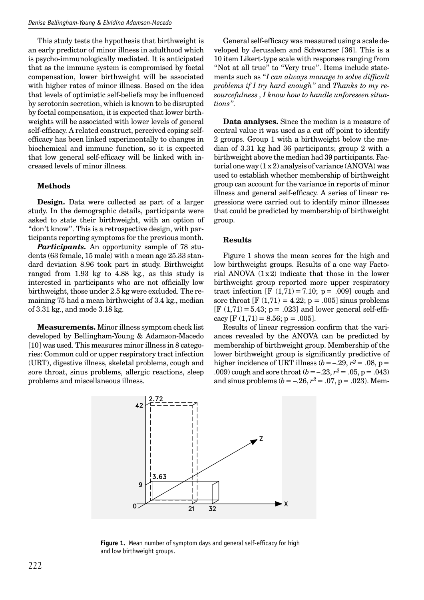This study tests the hypothesis that birthweight is an early predictor of minor illness in adulthood which is psycho-immunologically mediated. It is anticipated that as the immune system is compromised by foetal compensation, lower birthweight will be associated with higher rates of minor illness. Based on the idea that levels of optimistic self-beliefs may be influenced by serotonin secretion, which is known to be disrupted by foetal compensation, it is expected that lower birthweights will be associated with lower levels of general self-efficacy. A related construct, perceived coping selfefficacy has been linked experimentally to changes in biochemical and immune function, so it is expected that low general self-efficacy will be linked with increased levels of minor illness.

#### **Methods**

**Design.** Data were collected as part of a larger study. In the demographic details, participants were asked to state their birthweight, with an option of "don't know". This is a retrospective design, with participants reporting symptoms for the previous month.

*Participants.* An opportunity sample of 78 students (63 female, 15 male) with a mean age 25.33 standard deviation 8.96 took part in study. Birthweight ranged from 1.93 kg to 4.88 kg., as this study is interested in participants who are not officially low birthweight, those under 2.5 kg were excluded. The remaining 75 had a mean birthweight of 3.4 kg., median of 3.31 kg., and mode 3.18 kg.

**Measurements.** Minor illness symptom check list developed by Bellingham-Young & Adamson-Macedo [10] was used. This measures minor illness in 8 categories: Common cold or upper respiratory tract infection (URT), digestive illness, skeletal problems, cough and sore throat, sinus problems, allergic reactions, sleep problems and miscellaneous illness.

General self-efficacy was measured using a scale developed by Jerusalem and Schwarzer [36]. This is a 10 item Likert-type scale with responses ranging from "Not at all true" to "Very true". Items include statements such as "*I can always manage to solve difficult problems if I try hard enough"* and *Thanks to my resourcefulness , I know how to handle unforeseen situations".*

**Data analyses.** Since the median is a measure of central value it was used as a cut off point to identify 2 groups. Group 1 with a birthweight below the median of 3.31 kg had 36 participants; group 2 with a birthweight above the median had 39 participants. Factorial one way  $(1 x 2)$  analysis of variance  $(ANOVA)$  was used to establish whether membership of birthweight group can account for the variance in reports of minor illness and general self-efficacy. A series of linear regressions were carried out to identify minor illnesses that could be predicted by membership of birthweight group.

#### **Results**

Figure 1 shows the mean scores for the high and low birthweight groups. Results of a one way Factorial ANOVA  $(1x2)$  indicate that those in the lower birthweight group reported more upper respiratory tract infection [F  $(1,71) = 7.10$ ; p = .009] cough and sore throat  $[F(1,71) = 4.22; p = .005]$  sinus problems  $[F(1,71) = 5.43; p = .023]$  and lower general self-efficacy  $[F (1,71) = 8.56; p = .005]$ .

Results of linear regression confirm that the variances revealed by the ANOVA can be predicted by membership of birthweight group. Membership of the lower birthweight group is significantly predictive of higher incidence of URT illness ( $b = -.29$ ,  $r^2 = .08$ ,  $p =$ .009) cough and sore throat  $(b = -.23, r^2 = .05, p = .043)$ and sinus problems ( $b = -.26$ ,  $r^2 = .07$ ,  $p = .023$ ). Mem-



**Figure 1.** Mean number of symptom days and general self-efficacy for high and low birthweight groups.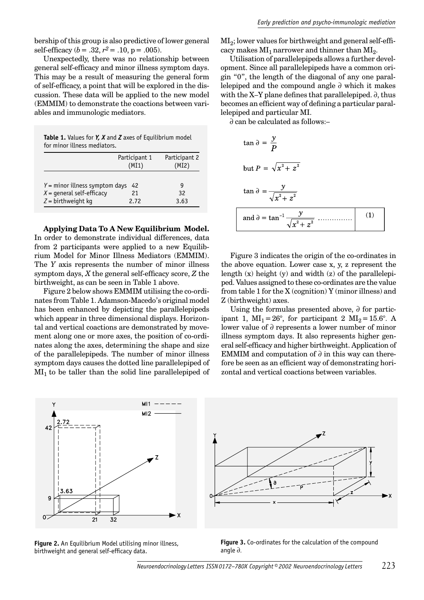bership of this group is also predictive of lower general self-efficacy  $(b = .32, r^2 = .10, p = .005)$ .

Unexpectedly, there was no relationship between general self-efficacy and minor illness symptom days. This may be a result of measuring the general form of self-efficacy, a point that will be explored in the discussion. These data will be applied to the new model (EMMIM) to demonstrate the coactions between variables and immunologic mediators.

**Table 1.** Values for *Y, X* and *Z* axes of Equilibrium model for minor illness mediators.

|                                  | Participant 1<br>(MI1) | Participant 2<br>(MI2) |
|----------------------------------|------------------------|------------------------|
| $Y =$ minor illness symptom days | g                      |                        |
| $X =$ qeneral self-efficacy      | 21                     | 32                     |
| $Z =$ birthweight kg             | 2.72                   | 3.63                   |

**Applying Data To A New Equilibrium Model.**  In order to demonstrate individual differences, data from 2 participants were applied to a new Equilibrium Model for Minor Illness Mediators (EMMIM). The *Y* axis represents the number of minor illness symptom days, *X* the general self-efficacy score, *Z* the birthweight, as can be seen in Table 1 above.

Figure 2 below shows EMMIM utilising the co-ordinates from Table 1. Adamson-Macedo's original model has been enhanced by depicting the parallelepipeds which appear in three dimensional displays. Horizontal and vertical coactions are demonstrated by movement along one or more axes, the position of co-ordinates along the axes, determining the shape and size of the parallelepipeds. The number of minor illness symptom days causes the dotted line parallelepiped of  $MI_1$  to be taller than the solid line parallelepiped of

 $MI<sub>2</sub>$ ; lower values for birthweight and general self-efficacy makes  $MI_1$  narrower and thinner than  $MI_2$ .

Utilisation of parallelepipeds allows a further development. Since all parallelepipeds have a common origin "0", the length of the diagonal of any one parallelepiped and the compound angle ∂ which it makes with the X–Y plane defines that parallelepiped. ∂, thus becomes an efficient way of defining a particular parallelepiped and particular MI.

∂ can be calculated as follows:–

$$
\tan \theta = \frac{y}{P}
$$
  
but  $P = \sqrt{x^2 + z^2}$   

$$
\tan \theta = \frac{y}{\sqrt{x^2 + z^2}}
$$
  
and  $\theta = \tan^{-1} \frac{y}{\sqrt{x^2 + z^2}}$  (1) (1)

Figure 3 indicates the origin of the co-ordinates in the above equation. Lower case x, y, z represent the length  $(x)$  height  $(y)$  and width  $(z)$  of the parallelepiped. Values assigned to these co-ordinates are the value from table 1 for the X (cognition) Y (minor illness) and Z (birthweight) axes.

Using the formulas presented above, ∂ for participant 1,  $MI_1 = 26^\circ$ , for participant 2  $MI_2 = 15.6^\circ$ . A lower value of ∂ represents a lower number of minor illness symptom days. It also represents higher general self-efficacy and higher birthweight. Application of EMMIM and computation of  $\partial$  in this way can therefore be seen as an efficient way of demonstrating horizontal and vertical coactions between variables.



**Figure 2.** An Equilibrium Model utilising minor illness, birthweight and general self-efficacy data.



**Figure 3.** Co-ordinates for the calculation of the compound angle ∂.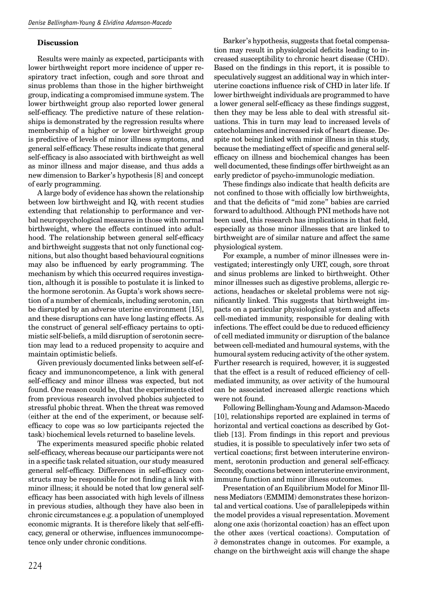#### **Discussion**

Results were mainly as expected, participants with lower birthweight report more incidence of upper respiratory tract infection, cough and sore throat and sinus problems than those in the higher birthweight group, indicating a compromised immune system. The lower birthweight group also reported lower general self-efficacy. The predictive nature of these relationships is demonstrated by the regression results where membership of a higher or lower birthweight group is predictive of levels of minor illness symptoms, and general self-efficacy. These results indicate that general self-efficacy is also associated with birthweight as well as minor illness and major disease, and thus adds a new dimension to Barker's hypothesis [8] and concept of early programming.

A large body of evidence has shown the relationship between low birthweight and IQ, with recent studies extending that relationship to performance and verbal neuropsychological measures in those with normal birthweight, where the effects continued into adulthood. The relationship between general self-efficacy and birthweight suggests that not only functional cognitions, but also thought based behavioural cognitions may also be influenced by early programming. The mechanism by which this occurred requires investigation, although it is possible to postulate it is linked to the hormone serotonin. As Gupta's work shows secretion of a number of chemicals, including serotonin, can be disrupted by an adverse uterine environment [15], and these disruptions can have long lasting effects. As the construct of general self-efficacy pertains to optimistic self-beliefs, a mild disruption of serotonin secretion may lead to a reduced propensity to acquire and maintain optimistic beliefs.

Given previously documented links between self-efficacy and immunoncompetence, a link with general self-efficacy and minor illness was expected, but not found. One reason could be, that the experiments cited from previous research involved phobics subjected to stressful phobic threat. When the threat was removed (either at the end of the experiment, or because selfefficacy to cope was so low participants rejected the task) biochemical levels returned to baseline levels.

The experiments measured specific phobic related self-efficacy, whereas because our participants were not in a specific task related situation, our study measured general self-efficacy. Differences in self-efficacy constructs may be responsible for not finding a link with minor illness; it should be noted that low general selfefficacy has been associated with high levels of illness in previous studies, although they have also been in chronic circumstances e.g. a population of unemployed economic migrants. It is therefore likely that self-efficacy, general or otherwise, influences immunocompetence only under chronic conditions.

Barker's hypothesis, suggests that foetal compensation may result in physiolgocial deficits leading to increased susceptibility to chronic heart disease (CHD). Based on the findings in this report, it is possible to speculatively suggest an additional way in which interuterine coactions influence risk of CHD in later life. If lower birthweight individuals are programmed to have a lower general self-efficacy as these findings suggest, then they may be less able to deal with stressful situations. This in turn may lead to increased levels of catecholamines and increased risk of heart disease. Despite not being linked with minor illness in this study, because the mediating effect of specific and general selfefficacy on illness and biochemical changes has been well documented, these findings offer birthweight as an early predictor of psycho-immunologic mediation.

These findings also indicate that health deficits are not confined to those with officially low birthweights, and that the deficits of "mid zone" babies are carried forward to adulthood. Although PNI methods have not been used, this research has implications in that field, especially as those minor illnesses that are linked to birthweight are of similar nature and affect the same physiological system.

For example, a number of minor illnesses were investigated; interestingly only URT, cough, sore throat and sinus problems are linked to birthweight. Other minor illnesses such as digestive problems, allergic reactions, headaches or skeletal problems were not significantly linked. This suggests that birthweight impacts on a particular physiological system and affects cell-mediated immunity, responsible for dealing with infections. The effect could be due to reduced efficiency of cell mediated immunity or disruption of the balance between cell-mediated and humoural systems, with the humoural system reducing activity of the other system. Further research is required, however, it is suggested that the effect is a result of reduced efficiency of cellmediated immunity, as over activity of the humoural can be associated increased allergic reactions which were not found.

Following Bellingham-Young and Adamson-Macedo [10], relationships reported are explained in terms of horizontal and vertical coactions as described by Gottlieb [13]. From findings in this report and previous studies, it is possible to speculatively infer two sets of vertical coactions; first between interuterine environment, serotonin production and general self-efficacy. Secondly, coactions between interuterine environment, immune function and minor illness outcomes.

Presentation of an Equilibrium Model for Minor Illness Mediators (EMMIM) demonstrates these horizontal and vertical coations. Use of parallelepipeds within the model provides a visual representation. Movement along one axis (horizontal coaction) has an effect upon the other axes (vertical coactions). Computation of ∂ demonstrates change in outcomes. For example, a change on the birthweight axis will change the shape